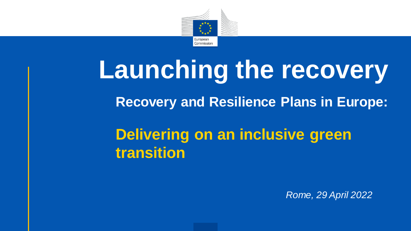

# **Launching the recovery Delivering on an inclusive green transition Recovery and Resilience Plans in Europe:**

*Rome, 29 April 2022*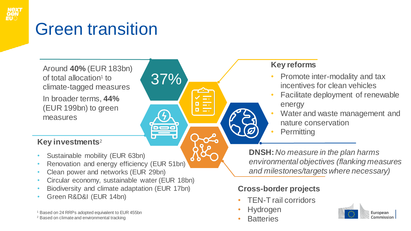

### Green transition

Around **40%** (EUR 183bn) of total allocation<sup>1</sup> to climate-tagged measures In broader terms, **44%**  (EUR 199bn) to green measures

#### **Key investments**<sup>2</sup>

- Sustainable mobility (EUR 63bn)
- Renovation and energy efficiency (EUR 51bn)
- Clean power and networks (EUR 29bn)
- Circular economy, sustainable water (EUR 18bn)

37%

- Biodiversity and climate adaptation (EUR 17bn)
- Green R&D&I (EUR 14bn)

<sup>1</sup> Based on 24 RRPs adopted equivalent to EUR 455bn

<sup>2</sup> Based on climate and environmental tracking

#### **Key reforms**

- Promote inter-modality and tax incentives for clean vehicles
- Facilitate deployment of renewable energy
- Water and waste management and nature conservation
- **Permitting**

**DNSH:** *No measure in the plan harms environmental objectives (flanking measures and milestones/targets where necessary)*

### **Cross-border projects**

- TEN-T rail corridors
- Hydrogen
- **Batteries**

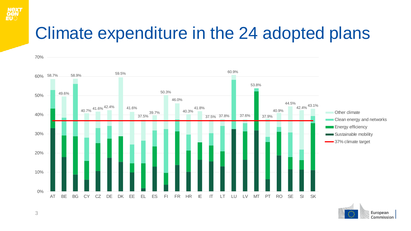

### Climate expenditure in the 24 adopted plans



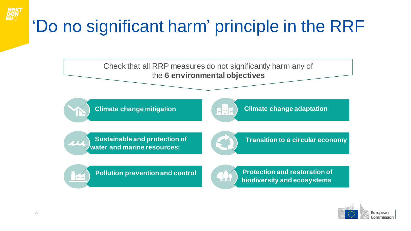## 'Do no significant harm' principle in the RRF



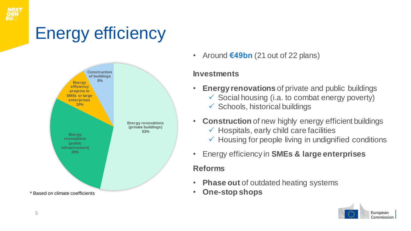

### Energy efficiency



• Around **€49bn** (21 out of 22 plans)

#### **Investments**

- **Energy renovations** of private and public buildings
	- $\checkmark$  Social housing (i.a. to combat energy poverty)
	- $\checkmark$  Schools, historical buildings
- **Construction** of new highly energy efficient buildings
	- $\checkmark$  Hospitals, early child care facilities
	- $\checkmark$  Housing for people living in undignified conditions
- Energy efficiency in **SMEs & large enterprises**

### **Reforms**

- **Phase out** of outdated heating systems
- **One-stop shops**

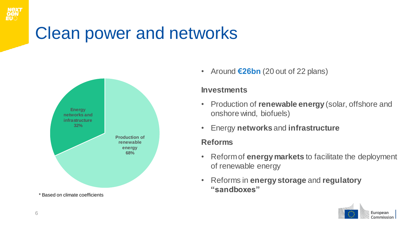

### Clean power and networks



\* Based on climate coefficients

• Around **€26bn** (20 out of 22 plans)

#### **Investments**

- Production of **renewable energy** (solar, offshore and onshore wind, biofuels)
- Energy **networks** and **infrastructure**

#### **Reforms**

- Reform of **energy markets** to facilitate the deployment of renewable energy
- Reforms in **energy storage** and **regulatory "sandboxes"**